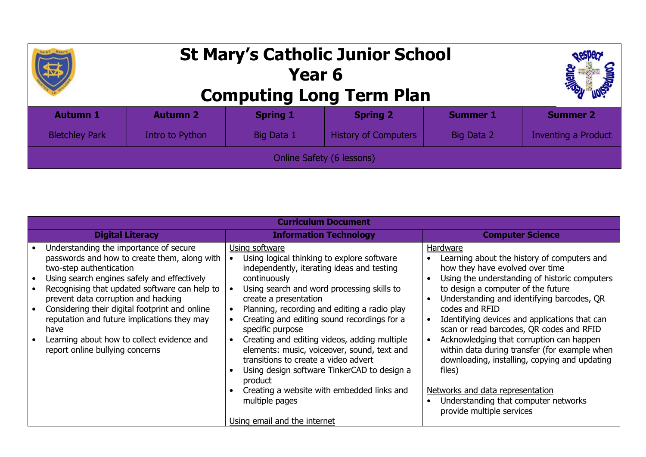## **St Mary's Catholic Junior School Year 6 Computing Long Term Plan**



| <b>Autumn 1</b>           | <b>Autumn 2</b> | <b>Spring 1</b> | <b>Spring 2</b>             | <b>Summer 1</b> | <b>Summer 2</b>     |  |
|---------------------------|-----------------|-----------------|-----------------------------|-----------------|---------------------|--|
| <b>Bletchley Park</b>     | Intro to Python | Big Data 1      | <b>History of Computers</b> | Big Data 2      | Inventing a Product |  |
| Online Safety (6 lessons) |                 |                 |                             |                 |                     |  |

| <b>Curriculum Document</b>                                                                                                                                                                                                                                                                                                                                                                                                                         |                                                                                                                                                                                                                                                                                                                                                                                                                                                                                                                                                                                       |                                                                                                                                                                                                                                                                                                                                                                                                                                                                                                                                                                                                                                                                     |  |  |  |
|----------------------------------------------------------------------------------------------------------------------------------------------------------------------------------------------------------------------------------------------------------------------------------------------------------------------------------------------------------------------------------------------------------------------------------------------------|---------------------------------------------------------------------------------------------------------------------------------------------------------------------------------------------------------------------------------------------------------------------------------------------------------------------------------------------------------------------------------------------------------------------------------------------------------------------------------------------------------------------------------------------------------------------------------------|---------------------------------------------------------------------------------------------------------------------------------------------------------------------------------------------------------------------------------------------------------------------------------------------------------------------------------------------------------------------------------------------------------------------------------------------------------------------------------------------------------------------------------------------------------------------------------------------------------------------------------------------------------------------|--|--|--|
| <b>Digital Literacy</b>                                                                                                                                                                                                                                                                                                                                                                                                                            | <b>Information Technology</b>                                                                                                                                                                                                                                                                                                                                                                                                                                                                                                                                                         | <b>Computer Science</b>                                                                                                                                                                                                                                                                                                                                                                                                                                                                                                                                                                                                                                             |  |  |  |
| Understanding the importance of secure<br>passwords and how to create them, along with<br>two-step authentication<br>Using search engines safely and effectively<br>Recognising that updated software can help to<br>prevent data corruption and hacking<br>Considering their digital footprint and online<br>reputation and future implications they may<br>have<br>Learning about how to collect evidence and<br>report online bullying concerns | Using software<br>Using logical thinking to explore software<br>independently, iterating ideas and testing<br>continuously<br>Using search and word processing skills to<br>create a presentation<br>Planning, recording and editing a radio play<br>Creating and editing sound recordings for a<br>specific purpose<br>Creating and editing videos, adding multiple<br>elements: music, voiceover, sound, text and<br>transitions to create a video advert<br>Using design software TinkerCAD to design a<br>product<br>Creating a website with embedded links and<br>multiple pages | Hardware<br>Learning about the history of computers and<br>how they have evolved over time<br>Using the understanding of historic computers<br>$\bullet$<br>to design a computer of the future<br>Understanding and identifying barcodes, QR<br>$\bullet$<br>codes and RFID<br>Identifying devices and applications that can<br>$\bullet$<br>scan or read barcodes, QR codes and RFID<br>Acknowledging that corruption can happen<br>$\bullet$<br>within data during transfer (for example when<br>downloading, installing, copying and updating<br>files)<br>Networks and data representation<br>Understanding that computer networks<br>provide multiple services |  |  |  |
|                                                                                                                                                                                                                                                                                                                                                                                                                                                    | Using email and the internet                                                                                                                                                                                                                                                                                                                                                                                                                                                                                                                                                          |                                                                                                                                                                                                                                                                                                                                                                                                                                                                                                                                                                                                                                                                     |  |  |  |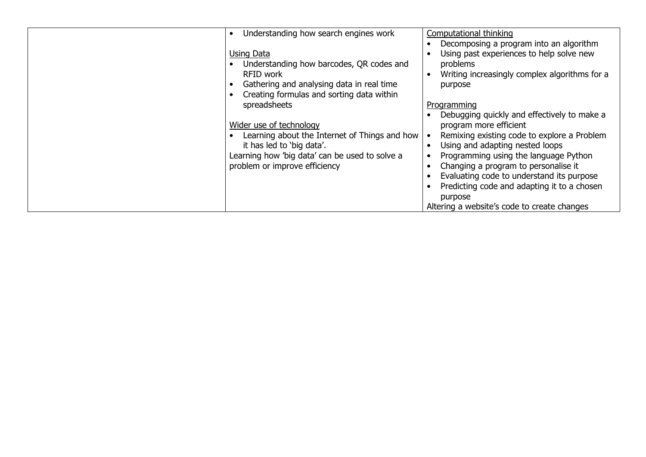| Understanding how search engines work          | <b>Computational thinking</b>                 |
|------------------------------------------------|-----------------------------------------------|
|                                                | Decomposing a program into an algorithm       |
| Using Data                                     | Using past experiences to help solve new      |
| Understanding how barcodes, QR codes and       | problems                                      |
| <b>RFID work</b>                               | Writing increasingly complex algorithms for a |
| Gathering and analysing data in real time      | purpose                                       |
| Creating formulas and sorting data within      |                                               |
| spreadsheets                                   | Programming                                   |
|                                                | Debugging quickly and effectively to make a   |
| Wider use of technology                        | program more efficient                        |
| Learning about the Internet of Things and how  | Remixing existing code to explore a Problem   |
| it has led to 'big data'.                      | Using and adapting nested loops               |
| Learning how 'big data' can be used to solve a | Programming using the language Python         |
| problem or improve efficiency                  | Changing a program to personalise it          |
|                                                | Evaluating code to understand its purpose     |
|                                                | Predicting code and adapting it to a chosen   |
|                                                | purpose                                       |
|                                                | Altering a website's code to create changes   |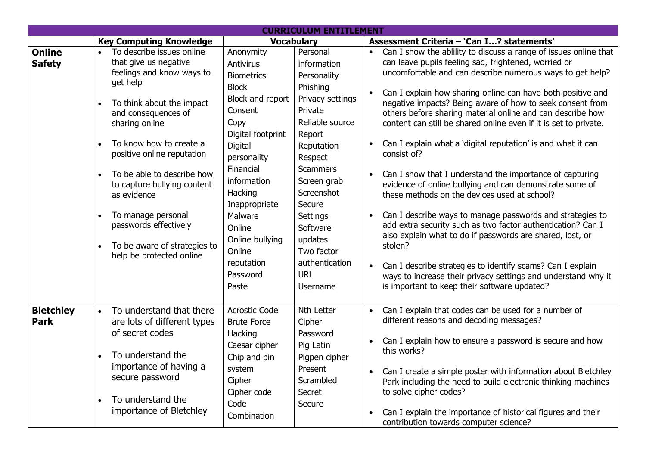| <b>CURRICULUM ENTITLEMENT</b>   |                                                                                                                                                                                                                                                                                                                                                                                                                                |                                                                                                                                                                                                                                                                                                                                                                                                                                                                                                                                                                                                  |                                                                                                                                                                                                                                                                                                                                                                                                                                                                                                                                                                                                                                                                                                                                                                                                                                                                                                                                                                                                                                                                                                                                                               |  |  |
|---------------------------------|--------------------------------------------------------------------------------------------------------------------------------------------------------------------------------------------------------------------------------------------------------------------------------------------------------------------------------------------------------------------------------------------------------------------------------|--------------------------------------------------------------------------------------------------------------------------------------------------------------------------------------------------------------------------------------------------------------------------------------------------------------------------------------------------------------------------------------------------------------------------------------------------------------------------------------------------------------------------------------------------------------------------------------------------|---------------------------------------------------------------------------------------------------------------------------------------------------------------------------------------------------------------------------------------------------------------------------------------------------------------------------------------------------------------------------------------------------------------------------------------------------------------------------------------------------------------------------------------------------------------------------------------------------------------------------------------------------------------------------------------------------------------------------------------------------------------------------------------------------------------------------------------------------------------------------------------------------------------------------------------------------------------------------------------------------------------------------------------------------------------------------------------------------------------------------------------------------------------|--|--|
|                                 | <b>Key Computing Knowledge</b>                                                                                                                                                                                                                                                                                                                                                                                                 | <b>Vocabulary</b>                                                                                                                                                                                                                                                                                                                                                                                                                                                                                                                                                                                | Assessment Criteria - 'Can I? statements'                                                                                                                                                                                                                                                                                                                                                                                                                                                                                                                                                                                                                                                                                                                                                                                                                                                                                                                                                                                                                                                                                                                     |  |  |
| <b>Online</b><br><b>Safety</b>  | To describe issues online<br>$\bullet$<br>that give us negative<br>feelings and know ways to<br>get help<br>To think about the impact<br>and consequences of<br>sharing online<br>To know how to create a<br>positive online reputation<br>To be able to describe how<br>to capture bullying content<br>as evidence<br>To manage personal<br>passwords effectively<br>To be aware of strategies to<br>help be protected online | Anonymity<br>Personal<br>Antivirus<br>information<br>Personality<br><b>Biometrics</b><br>Phishing<br><b>Block</b><br>Block and report<br>Privacy settings<br>Private<br>Consent<br>Reliable source<br>Copy<br>Digital footprint<br>Report<br>Digital<br>Reputation<br>Respect<br>personality<br>Financial<br><b>Scammers</b><br>information<br>Screen grab<br>Screenshot<br>Hacking<br>Inappropriate<br>Secure<br>Malware<br>Settings<br>Online<br>Software<br>Online bullying<br>updates<br>Online<br>Two factor<br>authentication<br>reputation<br><b>URL</b><br>Password<br>Paste<br>Username | Can I show the abiliity to discuss a range of issues online that<br>$\bullet$<br>can leave pupils feeling sad, frightened, worried or<br>uncomfortable and can describe numerous ways to get help?<br>Can I explain how sharing online can have both positive and<br>$\bullet$<br>negative impacts? Being aware of how to seek consent from<br>others before sharing material online and can describe how<br>content can still be shared online even if it is set to private.<br>Can I explain what a 'digital reputation' is and what it can<br>$\bullet$<br>consist of?<br>$\bullet$<br>Can I show that I understand the importance of capturing<br>evidence of online bullying and can demonstrate some of<br>these methods on the devices used at school?<br>Can I describe ways to manage passwords and strategies to<br>add extra security such as two factor authentication? Can I<br>also explain what to do if passwords are shared, lost, or<br>stolen?<br>$\bullet$<br>Can I describe strategies to identify scams? Can I explain<br>ways to increase their privacy settings and understand why it<br>is important to keep their software updated? |  |  |
| <b>Bletchley</b><br><b>Park</b> | To understand that there<br>are lots of different types<br>of secret codes<br>To understand the<br>importance of having a<br>secure password<br>To understand the<br>importance of Bletchley                                                                                                                                                                                                                                   | <b>Acrostic Code</b><br>Nth Letter<br><b>Brute Force</b><br>Cipher<br>Hacking<br>Password<br>Caesar cipher<br>Pig Latin<br>Pigpen cipher<br>Chip and pin<br>system<br>Present<br>Cipher<br>Scrambled<br>Cipher code<br>Secret<br>Code<br>Secure<br>Combination                                                                                                                                                                                                                                                                                                                                   | Can I explain that codes can be used for a number of<br>$\bullet$<br>different reasons and decoding messages?<br>Can I explain how to ensure a password is secure and how<br>this works?<br>Can I create a simple poster with information about Bletchley<br>Park including the need to build electronic thinking machines<br>to solve cipher codes?<br>Can I explain the importance of historical figures and their<br>$\bullet$<br>contribution towards computer science?                                                                                                                                                                                                                                                                                                                                                                                                                                                                                                                                                                                                                                                                                   |  |  |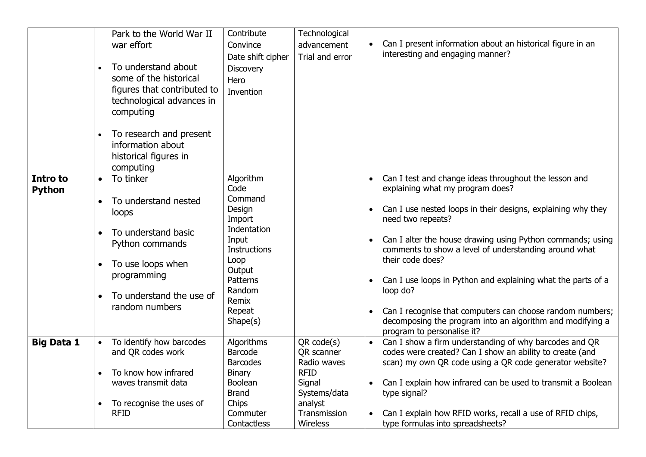|                           | Park to the World War II<br>war effort<br>To understand about<br>some of the historical<br>figures that contributed to<br>technological advances in<br>computing<br>To research and present<br>information about<br>historical figures in<br>computing | Contribute<br>Convince<br>Date shift cipher<br>Discovery<br>Hero<br>Invention                                                                                          | Technological<br>advancement<br>Trial and error                                                                                       | Can I present information about an historical figure in an<br>interesting and engaging manner?                                                                                                                                                                                                                                                                                                                                                                                                                                                                                          |
|---------------------------|--------------------------------------------------------------------------------------------------------------------------------------------------------------------------------------------------------------------------------------------------------|------------------------------------------------------------------------------------------------------------------------------------------------------------------------|---------------------------------------------------------------------------------------------------------------------------------------|-----------------------------------------------------------------------------------------------------------------------------------------------------------------------------------------------------------------------------------------------------------------------------------------------------------------------------------------------------------------------------------------------------------------------------------------------------------------------------------------------------------------------------------------------------------------------------------------|
| Intro to<br><b>Python</b> | To tinker<br>$\bullet$<br>To understand nested<br>$\bullet$<br>loops<br>To understand basic<br>$\bullet$<br>Python commands<br>To use loops when<br>$\bullet$<br>programming<br>To understand the use of<br>$\bullet$<br>random numbers                | Algorithm<br>Code<br>Command<br>Design<br>Import<br>Indentation<br>Input<br><b>Instructions</b><br>Loop<br>Output<br>Patterns<br>Random<br>Remix<br>Repeat<br>Shape(s) |                                                                                                                                       | Can I test and change ideas throughout the lesson and<br>$\bullet$<br>explaining what my program does?<br>Can I use nested loops in their designs, explaining why they<br>need two repeats?<br>Can I alter the house drawing using Python commands; using<br>comments to show a level of understanding around what<br>their code does?<br>Can I use loops in Python and explaining what the parts of a<br>$\bullet$<br>loop do?<br>Can I recognise that computers can choose random numbers;<br>decomposing the program into an algorithm and modifying a<br>program to personalise it? |
| <b>Big Data 1</b>         | To identify how barcodes<br>and QR codes work<br>To know how infrared<br>waves transmit data<br>To recognise the uses of<br>$\bullet$<br><b>RFID</b>                                                                                                   | Algorithms<br>Barcode<br><b>Barcodes</b><br><b>Binary</b><br><b>Boolean</b><br><b>Brand</b><br>Chips<br>Commuter<br>Contactless                                        | QR code(s)<br><b>QR</b> scanner<br>Radio waves<br><b>RFID</b><br>Signal<br>Systems/data<br>analyst<br>Transmission<br><b>Wireless</b> | Can I show a firm understanding of why barcodes and QR<br>codes were created? Can I show an ability to create (and<br>scan) my own QR code using a QR code generator website?<br>Can I explain how infrared can be used to transmit a Boolean<br>type signal?<br>Can I explain how RFID works, recall a use of RFID chips,<br>type formulas into spreadsheets?                                                                                                                                                                                                                          |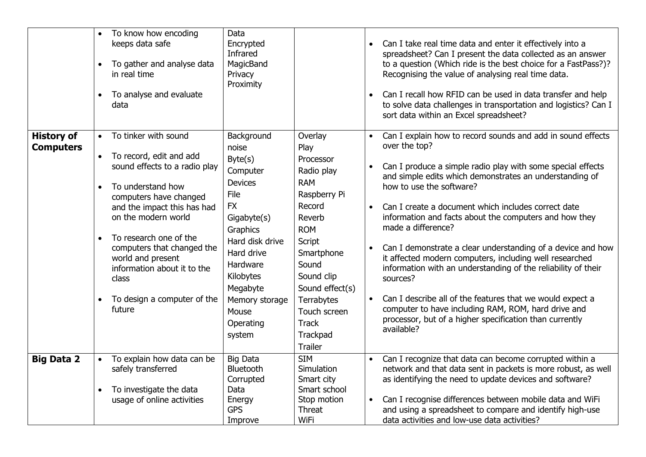|                                       | To know how encoding<br>keeps data safe<br>To gather and analyse data<br>in real time<br>To analyse and evaluate<br>$\bullet$<br>data                                                                                                                                                                                                                                                                   | Data<br>Encrypted<br>Infrared<br>MagicBand<br>Privacy<br>Proximity                                                                                                                                                                   |                                                                                                                                                                                                                                                          |           | Can I take real time data and enter it effectively into a<br>spreadsheet? Can I present the data collected as an answer<br>to a question (Which ride is the best choice for a FastPass?)?<br>Recognising the value of analysing real time data.<br>Can I recall how RFID can be used in data transfer and help<br>to solve data challenges in transportation and logistics? Can I<br>sort data within an Excel spreadsheet?                                                                                                                                                                                                                                                                                                                                                   |
|---------------------------------------|---------------------------------------------------------------------------------------------------------------------------------------------------------------------------------------------------------------------------------------------------------------------------------------------------------------------------------------------------------------------------------------------------------|--------------------------------------------------------------------------------------------------------------------------------------------------------------------------------------------------------------------------------------|----------------------------------------------------------------------------------------------------------------------------------------------------------------------------------------------------------------------------------------------------------|-----------|-------------------------------------------------------------------------------------------------------------------------------------------------------------------------------------------------------------------------------------------------------------------------------------------------------------------------------------------------------------------------------------------------------------------------------------------------------------------------------------------------------------------------------------------------------------------------------------------------------------------------------------------------------------------------------------------------------------------------------------------------------------------------------|
| <b>History of</b><br><b>Computers</b> | To tinker with sound<br>$\bullet$<br>To record, edit and add<br>$\bullet$<br>sound effects to a radio play<br>To understand how<br>computers have changed<br>and the impact this has had<br>on the modern world<br>To research one of the<br>$\bullet$<br>computers that changed the<br>world and present<br>information about it to the<br>class<br>To design a computer of the<br>$\bullet$<br>future | Background<br>noise<br>Byte(s)<br>Computer<br><b>Devices</b><br>File<br><b>FX</b><br>Gigabyte(s)<br>Graphics<br>Hard disk drive<br>Hard drive<br>Hardware<br>Kilobytes<br>Megabyte<br>Memory storage<br>Mouse<br>Operating<br>system | Overlay<br>Play<br>Processor<br>Radio play<br><b>RAM</b><br>Raspberry Pi<br>Record<br>Reverb<br><b>ROM</b><br>Script<br>Smartphone<br>Sound<br>Sound clip<br>Sound effect(s)<br>Terrabytes<br>Touch screen<br><b>Track</b><br>Trackpad<br><b>Trailer</b> |           | Can I explain how to record sounds and add in sound effects<br>over the top?<br>Can I produce a simple radio play with some special effects<br>and simple edits which demonstrates an understanding of<br>how to use the software?<br>Can I create a document which includes correct date<br>information and facts about the computers and how they<br>made a difference?<br>Can I demonstrate a clear understanding of a device and how<br>it affected modern computers, including well researched<br>information with an understanding of the reliability of their<br>sources?<br>Can I describe all of the features that we would expect a<br>computer to have including RAM, ROM, hard drive and<br>processor, but of a higher specification than currently<br>available? |
| <b>Big Data 2</b>                     | To explain how data can be<br>$\bullet$<br>safely transferred<br>To investigate the data<br>$\bullet$<br>usage of online activities                                                                                                                                                                                                                                                                     | <b>Big Data</b><br>Bluetooth<br>Corrupted<br>Data<br>Energy<br><b>GPS</b><br>Improve                                                                                                                                                 | <b>SIM</b><br>Simulation<br>Smart city<br>Smart school<br>Stop motion<br>Threat<br>WiFi                                                                                                                                                                  | $\bullet$ | Can I recognize that data can become corrupted within a<br>network and that data sent in packets is more robust, as well<br>as identifying the need to update devices and software?<br>Can I recognise differences between mobile data and WiFi<br>and using a spreadsheet to compare and identify high-use<br>data activities and low-use data activities?                                                                                                                                                                                                                                                                                                                                                                                                                   |